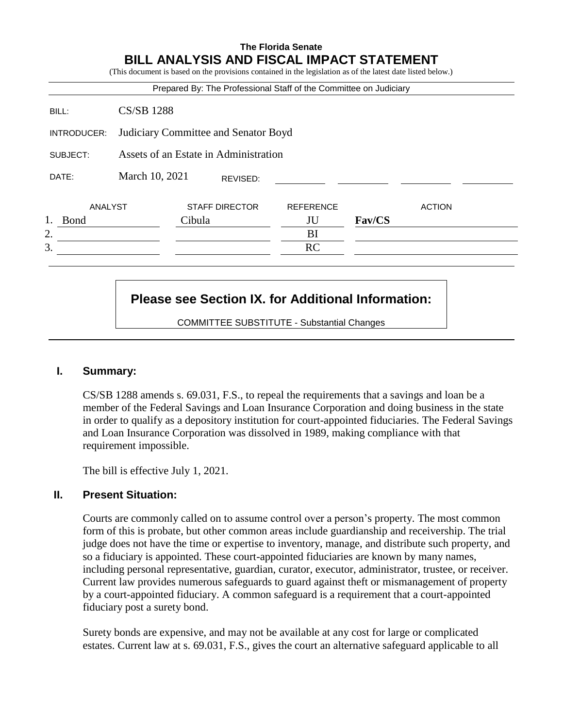## **The Florida Senate BILL ANALYSIS AND FISCAL IMPACT STATEMENT**

(This document is based on the provisions contained in the legislation as of the latest date listed below.) Prepared By: The Professional Staff of the Committee on Judiciary BILL: CS/SB 1288 INTRODUCER: Judiciary Committee and Senator Boyd SUBJECT: Assets of an Estate in Administration DATE: March 10, 2021 ANALYST STAFF DIRECTOR REFERENCE ACTION 1. Bond Cibula JU **Fav/CS**  $2.$  BI  $3.$  RC REVISED:

# **Please see Section IX. for Additional Information:**

COMMITTEE SUBSTITUTE - Substantial Changes

## **I. Summary:**

CS/SB 1288 amends s. 69.031, F.S., to repeal the requirements that a savings and loan be a member of the Federal Savings and Loan Insurance Corporation and doing business in the state in order to qualify as a depository institution for court-appointed fiduciaries. The Federal Savings and Loan Insurance Corporation was dissolved in 1989, making compliance with that requirement impossible.

The bill is effective July 1, 2021.

## **II. Present Situation:**

Courts are commonly called on to assume control over a person's property. The most common form of this is probate, but other common areas include guardianship and receivership. The trial judge does not have the time or expertise to inventory, manage, and distribute such property, and so a fiduciary is appointed. These court-appointed fiduciaries are known by many names, including personal representative, guardian, curator, executor, administrator, trustee, or receiver. Current law provides numerous safeguards to guard against theft or mismanagement of property by a court-appointed fiduciary. A common safeguard is a requirement that a court-appointed fiduciary post a surety bond.

Surety bonds are expensive, and may not be available at any cost for large or complicated estates. Current law at s. 69.031, F.S., gives the court an alternative safeguard applicable to all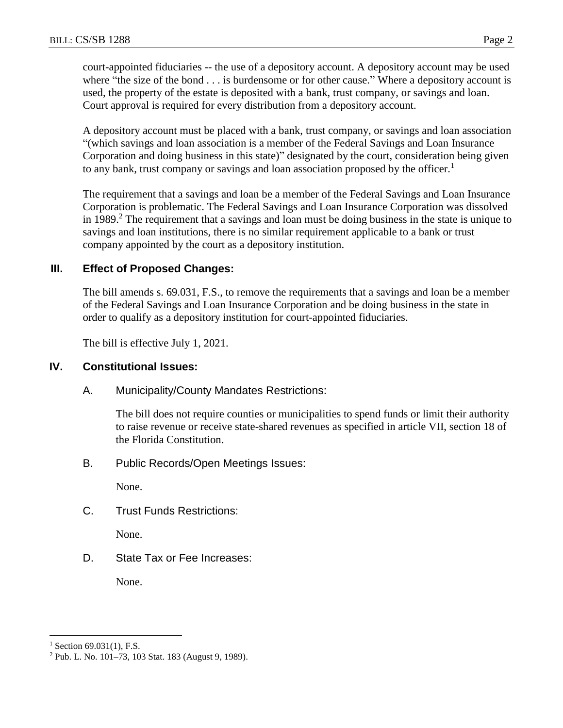court-appointed fiduciaries -- the use of a depository account. A depository account may be used where "the size of the bond . . . is burdensome or for other cause." Where a depository account is used, the property of the estate is deposited with a bank, trust company, or savings and loan. Court approval is required for every distribution from a depository account.

A depository account must be placed with a bank, trust company, or savings and loan association "(which savings and loan association is a member of the Federal Savings and Loan Insurance Corporation and doing business in this state)" designated by the court, consideration being given to any bank, trust company or savings and loan association proposed by the officer.<sup>1</sup>

The requirement that a savings and loan be a member of the Federal Savings and Loan Insurance Corporation is problematic. The Federal Savings and Loan Insurance Corporation was dissolved in 1989.<sup>2</sup> The requirement that a savings and loan must be doing business in the state is unique to savings and loan institutions, there is no similar requirement applicable to a bank or trust company appointed by the court as a depository institution.

## **III. Effect of Proposed Changes:**

The bill amends s. 69.031, F.S., to remove the requirements that a savings and loan be a member of the Federal Savings and Loan Insurance Corporation and be doing business in the state in order to qualify as a depository institution for court-appointed fiduciaries.

The bill is effective July 1, 2021.

#### **IV. Constitutional Issues:**

A. Municipality/County Mandates Restrictions:

The bill does not require counties or municipalities to spend funds or limit their authority to raise revenue or receive state-shared revenues as specified in article VII, section 18 of the Florida Constitution.

B. Public Records/Open Meetings Issues:

None.

C. Trust Funds Restrictions:

None.

D. State Tax or Fee Increases:

None.

 $\overline{a}$ 

 $1$  Section 69.031(1), F.S.

<sup>2</sup> Pub. L. No. 101–73, 103 Stat. 183 (August 9, 1989).